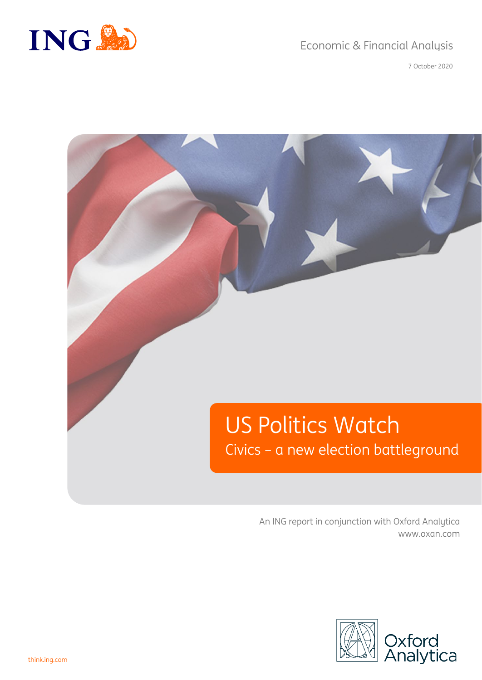

### Economic & Financial Analysis

7 October 2020



An ING report in conjunction with Oxford Analytica www.oxan.com

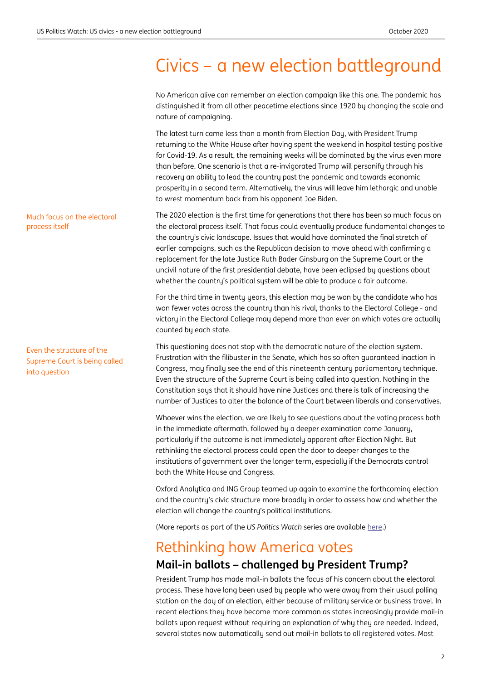# Civics – a new election battleground

No American alive can remember an election campaign like this one. The pandemic has distinguished it from all other peacetime elections since 1920 by changing the scale and nature of campaigning. The latest turn came less than a month from Election Day, with President Trump returning to the White House after having spent the weekend in hospital testing positive for Covid-19. As a result, the remaining weeks will be dominated by the virus even more than before. One scenario is that a re-invigorated Trump will personify through his recovery an ability to lead the country past the pandemic and towards economic prosperity in a second term. Alternatively, the virus will leave him lethargic and unable to wrest momentum back from his opponent Joe Biden. The 2020 election is the first time for generations that there has been so much focus on the electoral process itself. That focus could eventually produce fundamental changes to the country's civic landscape. Issues that would have dominated the final stretch of earlier campaigns, such as the Republican decision to move ahead with confirming a replacement for the late Justice Ruth Bader Ginsburg on the Supreme Court or the uncivil nature of the first presidential debate, have been eclipsed by questions about whether the country's political system will be able to produce a fair outcome. For the third time in twenty years, this election may be won by the candidate who has won fewer votes across the country than his rival, thanks to the Electoral College - and victory in the Electoral College may depend more than ever on which votes are actually counted by each state. This questioning does not stop with the democratic nature of the election system. Frustration with the filibuster in the Senate, which has so often guaranteed inaction in Congress, may finally see the end of this nineteenth century parliamentary technique. Even the structure of the Supreme Court is being called into question. Nothing in the Constitution says that it should have nine Justices and there is talk of increasing the number of Justices to alter the balance of the Court between liberals and conservatives. Whoever wins the election, we are likely to see questions about the voting process both in the immediate aftermath, followed by a deeper examination come January, particularly if the outcome is not immediately apparent after Election Night. But rethinking the electoral process could open the door to deeper changes to the institutions of government over the longer term, especially if the Democrats control both the White House and Congress. Even the structure of the Much focus on the electoral

> Oxford Analytica and ING Group teamed up again to examine the forthcoming election and the country's civic structure more broadly in order to assess how and whether the election will change the country's political institutions.

(More reports as part of the *US Politics Watch* series are available [here.\)](https://think.ing.com/search/results?keywords=oxford+analytica)

# Rethinking how America votes

### **Mail-in ballots – challenged by President Trump?**

President Trump has made mail-in ballots the focus of his concern about the electoral process. These have long been used by people who were away from their usual polling station on the day of an election, either because of military service or business travel. In recent elections they have become more common as states increasingly provide mail-in ballots upon request without requiring an explanation of why they are needed. Indeed, several states now automatically send out mail-in ballots to all registered votes. Most

# process itself

Supreme Court is being called into question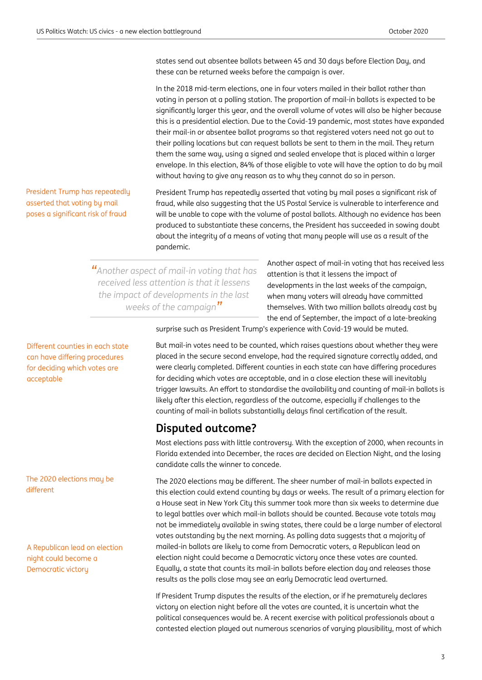states send out absentee ballots between 45 and 30 days before Election Day, and these can be returned weeks before the campaign is over.

In the 2018 mid-term elections, one in four voters mailed in their ballot rather than voting in person at a polling station. The proportion of mail-in ballots is expected to be significantly larger this year, and the overall volume of votes will also be higher because this is a presidential election. Due to the Covid-19 pandemic, most states have expanded their mail-in or absentee ballot programs so that registered voters need not go out to their polling locations but can request ballots be sent to them in the mail. They return them the same way, using a signed and sealed envelope that is placed within a larger envelope. In this election, 84% of those eligible to vote will have the option to do by mail without having to give any reason as to why they cannot do so in person.

President Trump has repeatedly asserted that voting by mail poses a significant risk of fraud, while also suggesting that the US Postal Service is vulnerable to interference and will be unable to cope with the volume of postal ballots. Although no evidence has been produced to substantiate these concerns, the President has succeeded in sowing doubt about the integrity of a means of voting that many people will use as a result of the pandemic.

*"Another aspect of mail-in voting that has received less attention is that it lessens the impact of developments in the last weeks of the campaign"*

Another aspect of mail-in voting that has received less attention is that it lessens the impact of developments in the last weeks of the campaign, when many voters will already have committed themselves. With two million ballots already cast by the end of September, the impact of a late-breaking

surprise such as President Trump's experience with Covid-19 would be muted.

But mail-in votes need to be counted, which raises questions about whether they were placed in the secure second envelope, had the required signature correctly added, and were clearly completed. Different counties in each state can have differing procedures for deciding which votes are acceptable, and in a close election these will inevitably trigger lawsuits. An effort to standardise the availability and counting of mail-in ballots is likely after this election, regardless of the outcome, especially if challenges to the counting of mail-in ballots substantially delays final certification of the result.

#### **Disputed outcome?**

Most elections pass with little controversy. With the exception of 2000, when recounts in Florida extended into December, the races are decided on Election Night, and the losing candidate calls the winner to concede.

The 2020 elections may be different. The sheer number of mail-in ballots expected in this election could extend counting by days or weeks. The result of a primary election for a House seat in New York City this summer took more than six weeks to determine due to legal battles over which mail-in ballots should be counted. Because vote totals may not be immediately available in swing states, there could be a large number of electoral votes outstanding by the next morning. As polling data suggests that a majority of mailed-in ballots are likely to come from Democratic voters, a Republican lead on election night could become a Democratic victory once these votes are counted. Equally, a state that counts its mail-in ballots before election day and releases those results as the polls close may see an early Democratic lead overturned.

If President Trump disputes the results of the election, or if he prematurely declares victory on election night before all the votes are counted, it is uncertain what the political consequences would be. A recent exercise with political professionals about a contested election played out numerous scenarios of varying plausibility, most of which

President Trump has repeatedly asserted that voting by mail poses a significant risk of fraud

Different counties in each state can have differing procedures for deciding which votes are

acceptable

#### The 2020 elections may be different

A Republican lead on election night could become a Democratic victory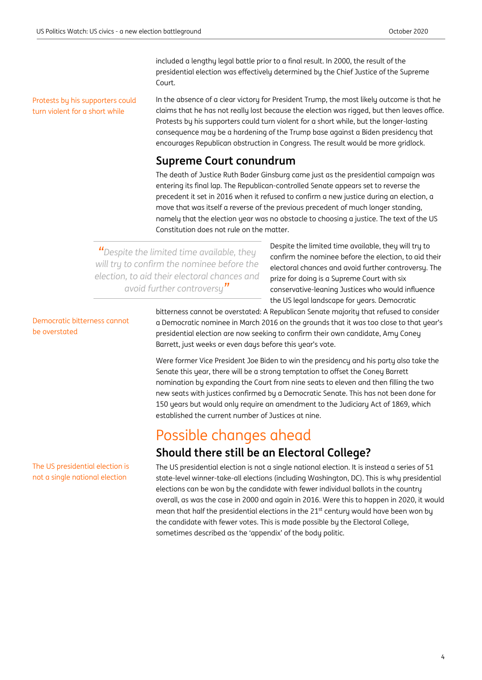included a lengthy legal battle prior to a final result. In 2000, the result of the presidential election was effectively determined by the Chief Justice of the Supreme Court.

Protests by his supporters could turn violent for a short while

In the absence of a clear victory for President Trump, the most likely outcome is that he claims that he has not really lost because the election was rigged, but then leaves office. Protests by his supporters could turn violent for a short while, but the longer-lasting consequence may be a hardening of the Trump base against a Biden presidency that encourages Republican obstruction in Congress. The result would be more gridlock.

### **Supreme Court conundrum**

The death of Justice Ruth Bader Ginsburg came just as the presidential campaign was entering its final lap. The Republican-controlled Senate appears set to reverse the precedent it set in 2016 when it refused to confirm a new justice during an election, a move that was itself a reverse of the previous precedent of much longer standing, namely that the election year was no obstacle to choosing a justice. The text of the US Constitution does not rule on the matter.

*"Despite the limited time available, they will try to confirm the nominee before the election, to aid their electoral chances and avoid further controversy"*

Despite the limited time available, they will try to confirm the nominee before the election, to aid their electoral chances and avoid further controversy. The prize for doing is a Supreme Court with six conservative-leaning Justices who would influence the US legal landscape for years. Democratic

Democratic bitterness cannot be overstated

bitterness cannot be overstated: A Republican Senate majority that refused to consider a Democratic nominee in March 2016 on the grounds that it was too close to that year's presidential election are now seeking to confirm their own candidate, Amy Coney Barrett, just weeks or even days before this year's vote.

Were former Vice President Joe Biden to win the presidency and his party also take the Senate this year, there will be a strong temptation to offset the Coney Barrett nomination by expanding the Court from nine seats to eleven and then filling the two new seats with justices confirmed by a Democratic Senate. This has not been done for 150 years but would only require an amendment to the Judiciary Act of 1869, which established the current number of Justices at nine.

# Possible changes ahead

# **Should there still be an Electoral College?**

The US presidential election is not a single national election. It is instead a series of 51 state-level winner-take-all elections (including Washington, DC). This is why presidential elections can be won by the candidate with fewer individual ballots in the country overall, as was the case in 2000 and again in 2016. Were this to happen in 2020, it would mean that half the presidential elections in the 21<sup>st</sup> century would have been won by the candidate with fewer votes. This is made possible by the Electoral College, sometimes described as the 'appendix' of the body politic.

The US presidential election is not a single national election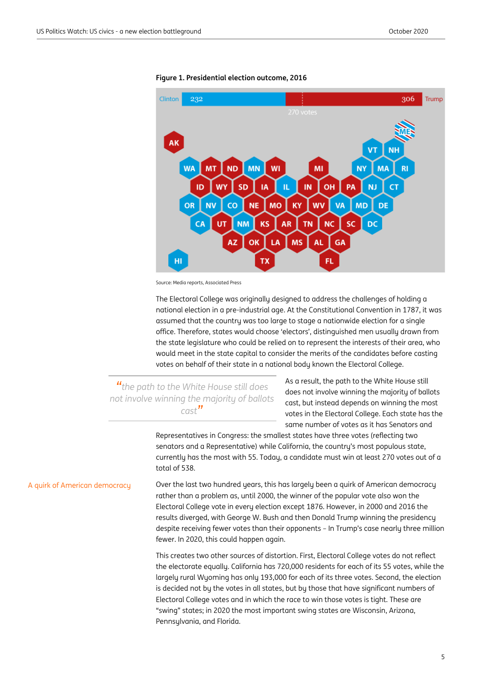

**Figure 1. Presidential election outcome, 2016** 

Source: Media reports, Associated Press

The Electoral College was originally designed to address the challenges of holding a national election in a pre-industrial age. At the Constitutional Convention in 1787, it was assumed that the country was too large to stage a nationwide election for a single office. Therefore, states would choose 'electors', distinguished men usually drawn from the state legislature who could be relied on to represent the interests of their area, who would meet in the state capital to consider the merits of the candidates before casting votes on behalf of their state in a national body known the Electoral College.

*"the path to the White House still does not involve winning the majority of ballots cast"*

As a result, the path to the White House still does not involve winning the majority of ballots cast, but instead depends on winning the most votes in the Electoral College. Each state has the same number of votes as it has Senators and

Representatives in Congress: the smallest states have three votes (reflecting two senators and a Representative) while California, the country's most populous state, currently has the most with 55. Today, a candidate must win at least 270 votes out of a total of 538.

Over the last two hundred years, this has largely been a quirk of American democracy rather than a problem as, until 2000, the winner of the popular vote also won the Electoral College vote in every election except 1876. However, in 2000 and 2016 the results diverged, with George W. Bush and then Donald Trump winning the presidency despite receiving fewer votes than their opponents – In Trump's case nearly three million fewer. In 2020, this could happen again. A quirk of American democracy

> This creates two other sources of distortion. First, Electoral College votes do not reflect the electorate equally. California has 720,000 residents for each of its 55 votes, while the largely rural Wyoming has only 193,000 for each of its three votes. Second, the election is decided not by the votes in all states, but by those that have significant numbers of Electoral College votes and in which the race to win those votes is tight. These are "swing" states; in 2020 the most important swing states are Wisconsin, Arizona, Pennsylvania, and Florida.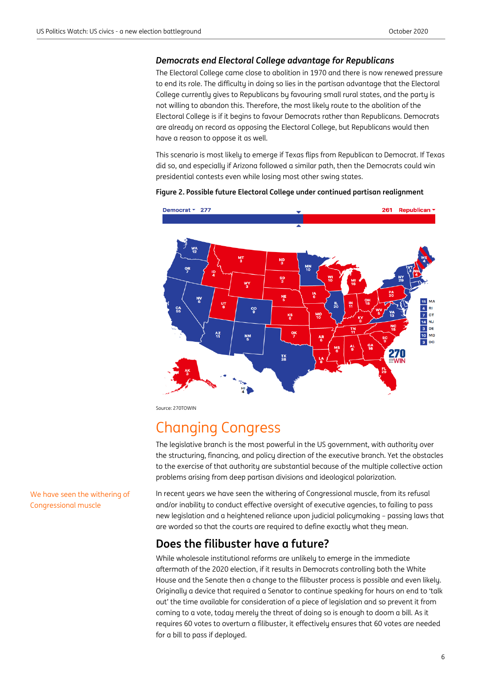#### *Democrats end Electoral College advantage for Republicans*

The Electoral College came close to abolition in 1970 and there is now renewed pressure to end its role. The difficulty in doing so lies in the partisan advantage that the Electoral College currently gives to Republicans by favouring small rural states, and the party is not willing to abandon this. Therefore, the most likely route to the abolition of the Electoral College is if it begins to favour Democrats rather than Republicans. Democrats are already on record as opposing the Electoral College, but Republicans would then have a reason to oppose it as well.

This scenario is most likely to emerge if Texas flips from Republican to Democrat. If Texas did so, and especially if Arizona followed a similar path, then the Democrats could win presidential contests even while losing most other swing states.



#### **Figure 2. Possible future Electoral College under continued partisan realignment**

Source: 270TOWIN

# Changing Congress

The legislative branch is the most powerful in the US government, with authority over the structuring, financing, and policy direction of the executive branch. Yet the obstacles to the exercise of that authority are substantial because of the multiple collective action problems arising from deep partisan divisions and ideological polarization.

In recent years we have seen the withering of Congressional muscle, from its refusal and/or inability to conduct effective oversight of executive agencies, to failing to pass new legislation and a heightened reliance upon judicial policymaking – passing laws that are worded so that the courts are required to define exactly what they mean.

### **Does the filibuster have a future?**

While wholesale institutional reforms are unlikely to emerge in the immediate aftermath of the 2020 election, if it results in Democrats controlling both the White House and the Senate then a change to the filibuster process is possible and even likely. Originally a device that required a Senator to continue speaking for hours on end to 'talk out' the time available for consideration of a piece of legislation and so prevent it from coming to a vote, today merely the threat of doing so is enough to doom a bill. As it requires 60 votes to overturn a filibuster, it effectively ensures that 60 votes are needed for a bill to pass if deployed.

We have seen the withering of Congressional muscle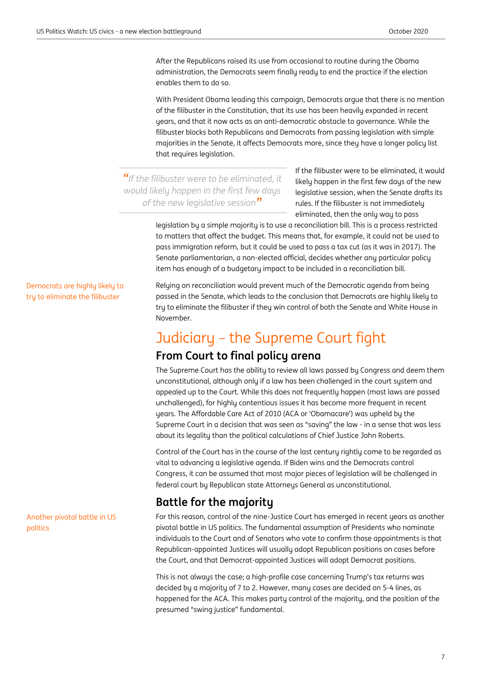After the Republicans raised its use from occasional to routine during the Obama administration, the Democrats seem finally ready to end the practice if the election enables them to do so.

With President Obama leading this campaign, Democrats argue that there is no mention of the filibuster in the Constitution, that its use has been heavily expanded in recent years, and that it now acts as an anti-democratic obstacle to governance. While the filibuster blocks both Republicans and Democrats from passing legislation with simple majorities in the Senate, it affects Democrats more, since they have a longer policy list that requires legislation.

*"If the filibuster were to be eliminated, it would likely happen in the first few days of the new legislative session"*

If the filibuster were to be eliminated, it would likely happen in the first few days of the new legislative session, when the Senate drafts its rules. If the filibuster is not immediately eliminated, then the only way to pass

legislation by a simple majority is to use a reconciliation bill. This is a process restricted to matters that affect the budget. This means that, for example, it could not be used to pass immigration reform, but it could be used to pass a tax cut (as it was in 2017). The Senate parliamentarian, a non-elected official, decides whether any particular policy item has enough of a budgetary impact to be included in a reconciliation bill.

Relying on reconciliation would prevent much of the Democratic agenda from being passed in the Senate, which leads to the conclusion that Democrats are highly likely to try to eliminate the filibuster if they win control of both the Senate and White House in November.

# Judiciary – the Supreme Court fight

### **From Court to final policy arena**

The Supreme Court has the ability to review all laws passed by Congress and deem them unconstitutional, although only if a law has been challenged in the court system and appealed up to the Court. While this does not frequently happen (most laws are passed unchallenged), for highly contentious issues it has become more frequent in recent years. The Affordable Care Act of 2010 (ACA or 'Obamacare') was upheld by the Supreme Court in a decision that was seen as "saving" the law - in a sense that was less about its legality than the political calculations of Chief Justice John Roberts.

Control of the Court has in the course of the last century rightly come to be regarded as vital to advancing a legislative agenda. If Biden wins and the Democrats control Congress, it can be assumed that most major pieces of legislation will be challenged in federal court by Republican state Attorneys General as unconstitutional.

# **Battle for the majority**

For this reason, control of the nine-Justice Court has emerged in recent years as another pivotal battle in US politics. The fundamental assumption of Presidents who nominate individuals to the Court and of Senators who vote to confirm those appointments is that Republican-appointed Justices will usually adopt Republican positions on cases before the Court, and that Democrat-appointed Justices will adopt Democrat positions.

This is not always the case; a high-profile case concerning Trump's tax returns was decided by a majority of 7 to 2. However, many cases are decided on 5-4 lines, as happened for the ACA. This makes party control of the majority, and the position of the presumed "swing justice" fundamental.

Democrats are highly likely to try to eliminate the filibuster

Another pivotal battle in US politics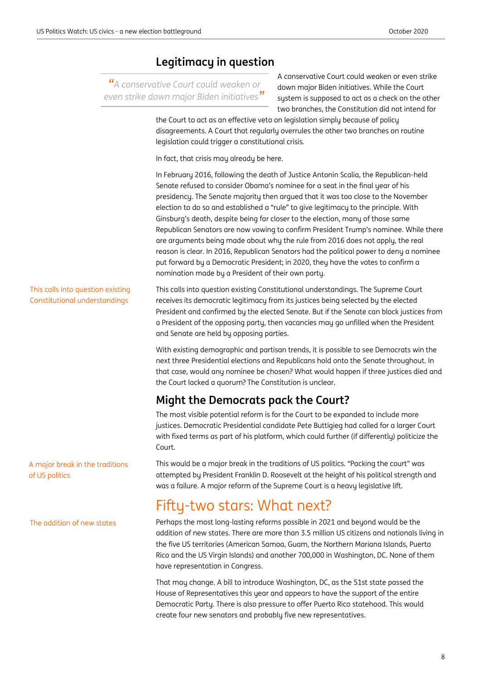### **Legitimacy in question**

*"A conservative Court could weaken or even strike down major Biden initiatives"* A conservative Court could weaken or even strike down major Biden initiatives. While the Court system is supposed to act as a check on the other two branches, the Constitution did not intend for

the Court to act as an effective veto on legislation simply because of policy disagreements. A Court that regularly overrules the other two branches on routine legislation could trigger a constitutional crisis.

In fact, that crisis may already be here.

In February 2016, following the death of Justice Antonin Scalia, the Republican-held Senate refused to consider Obama's nominee for a seat in the final year of his presidency. The Senate majority then argued that it was too close to the November election to do so and established a "rule" to give legitimacy to the principle. With Ginsburg's death, despite being far closer to the election, many of those same Republican Senators are now vowing to confirm President Trump's nominee. While there are arguments being made about why the rule from 2016 does not apply, the real reason is clear. In 2016, Republican Senators had the political power to deny a nominee put forward by a Democratic President; in 2020, they have the votes to confirm a nomination made by a President of their own party.

This calls into question existing Constitutional understandings. The Supreme Court receives its democratic legitimacy from its justices being selected by the elected President and confirmed by the elected Senate. But if the Senate can block justices from a President of the opposing party, then vacancies may go unfilled when the President and Senate are held by opposing parties. This calls into question existing Constitutional understandings

> With existing demographic and partisan trends, it is possible to see Democrats win the next three Presidential elections and Republicans hold onto the Senate throughout. In that case, would any nominee be chosen? What would happen if three justices died and the Court lacked a quorum? The Constitution is unclear.

# **Might the Democrats pack the Court?**

The most visible potential reform is for the Court to be expanded to include more justices. Democratic Presidential candidate Pete Buttigieg had called for a larger Court with fixed terms as part of his platform, which could further (if differently) politicize the Court.

This would be a major break in the traditions of US politics. "Packing the court" was attempted by President Franklin D. Roosevelt at the height of his political strength and was a failure. A major reform of the Supreme Court is a heavy legislative lift.

# Fifty-two stars: What next?

Perhaps the most long-lasting reforms possible in 2021 and beyond would be the addition of new states. There are more than 3.5 million US citizens and nationals living in the five US territories (American Samoa, Guam, the Northern Mariana Islands, Puerto Rico and the US Virgin Islands) and another 700,000 in Washington, DC. None of them have representation in Congress.

That may change. A bill to introduce Washington, DC, as the 51st state passed the House of Representatives this year and appears to have the support of the entire Democratic Party. There is also pressure to offer Puerto Rico statehood. This would create four new senators and probably five new representatives.

A major break in the traditions of US politics

The addition of new states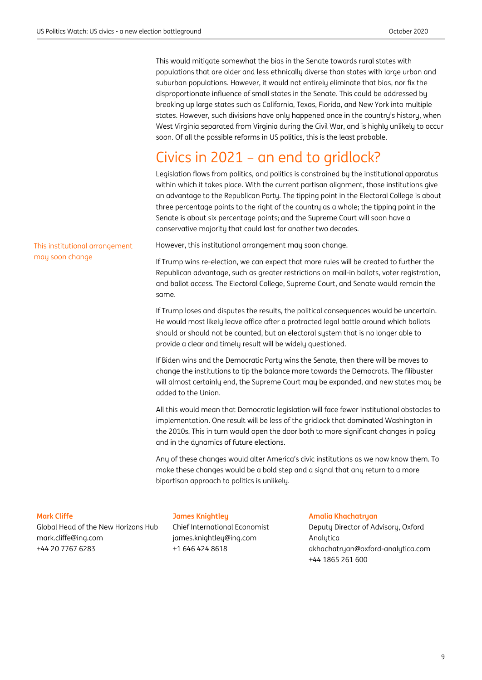This would mitigate somewhat the bias in the Senate towards rural states with populations that are older and less ethnically diverse than states with large urban and suburban populations. However, it would not entirely eliminate that bias, nor fix the disproportionate influence of small states in the Senate. This could be addressed by breaking up large states such as California, Texas, Florida, and New York into multiple states. However, such divisions have only happened once in the country's history, when West Virginia separated from Virginia during the Civil War, and is highly unlikely to occur soon. Of all the possible reforms in US politics, this is the least probable.

# Civics in 2021 – an end to gridlock?

Legislation flows from politics, and politics is constrained by the institutional apparatus within which it takes place. With the current partisan alignment, those institutions give an advantage to the Republican Party. The tipping point in the Electoral College is about three percentage points to the right of the country as a whole; the tipping point in the Senate is about six percentage points; and the Supreme Court will soon have a conservative majority that could last for another two decades.

This institutional arrangement may soon change

However, this institutional arrangement may soon change.

If Trump wins re-election, we can expect that more rules will be created to further the Republican advantage, such as greater restrictions on mail-in ballots, voter registration, and ballot access. The Electoral College, Supreme Court, and Senate would remain the same.

If Trump loses and disputes the results, the political consequences would be uncertain. He would most likely leave office after a protracted legal battle around which ballots should or should not be counted, but an electoral system that is no longer able to provide a clear and timely result will be widely questioned.

If Biden wins and the Democratic Party wins the Senate, then there will be moves to change the institutions to tip the balance more towards the Democrats. The filibuster will almost certainly end, the Supreme Court may be expanded, and new states may be added to the Union.

All this would mean that Democratic legislation will face fewer institutional obstacles to implementation. One result will be less of the gridlock that dominated Washington in the 2010s. This in turn would open the door both to more significant changes in policy and in the dynamics of future elections.

Any of these changes would alter America's civic institutions as we now know them. To make these changes would be a bold step and a signal that any return to a more bipartisan approach to politics is unlikely.

#### **Mark Cliffe**

Global Head of the New Horizons Hub [mark.cliffe@ing.com](mailto:mark.cliffe@ing.com) +44 20 7767 6283

#### **James Knightley**

Chief International Economist [james.knightley@ing.com](mailto:james.knightley@ing.com) +1 646 424 8618

**Amalia Khachatryan** 

Deputy Director of Advisory, Oxford Analytica akhachatryan@oxford-analytica.com +44 1865 261 600